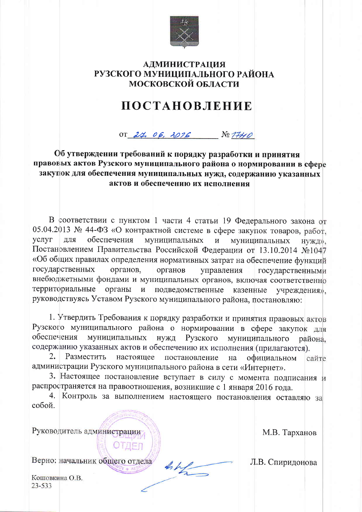

## **АДМИНИСТРАЦИЯ** РУЗСКОГО МУНИЦИПАЛЬНОГО РАЙОНА МОСКОВСКОЙ ОБЛАСТИ

## **ПОСТАНОВЛЕНИЕ**

OT 24, 06, 2016  $N = 1740$ 

Об утверждении требований к порядку разработки и принятия правовых актов Рузского муниципального района о нормировании в сфере закупок для обеспечения муниципальных нужд, содержанию указанных актов и обеспечению их исполнения

В соответствии с пунктом 1 части 4 статьи 19 Федерального закона от 05.04.2013 № 44-ФЗ «О контрактной системе в сфере закупок товаров, работ, услуг ДЛЯ обеспечения муниципальных и муниципальных НУЖД». Постановлением Правительства Российской Федерации от 13.10.2014 №1047 «Об общих правилах определения нормативных затрат на обеспечение функций государственных органов. органов управления государственными внебюджетными фондами и муниципальных органов, включая соответственно территориальные органы подведомственные  $\mathbf{M}$ казенные учреждения». руководствуясь Уставом Рузского муниципального района, постановляю:

1. Утвердить Требования к порядку разработки и принятия правовых актов Рузского муниципального района о нормировании в сфере закупок для обеспечения муниципальных нужд Рузского муниципального района. содержанию указанных актов и обеспечению их исполнения (прилагаются).

 $2.$ Разместить настояшее постановление на официальном сайте администрации Рузского муниципального района в сети «Интернет».

3. Настоящее постановление вступает в силу с момента подписания и распространяется на правоотношения, возникшие с 1 января 2016 года.

4. Контроль за выполнением настоящего постановления оставляю за собой.

Руководитель администрации

М.В. Тарханов

Верно: начальник общего отдела

OTAEN

Кошовкина О.В.  $23 - 533$ 

Л.В. Спиридонова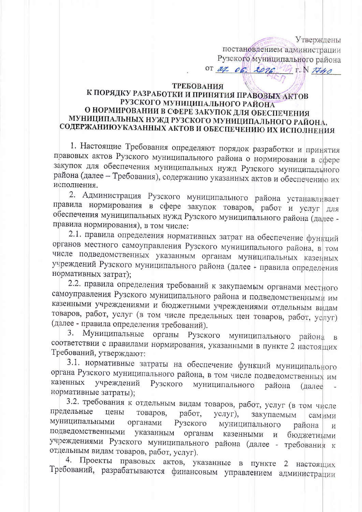Утверждены постановлением администрации Рузского муниципального района

OT  $210$  $207C$  $T.N$ 7740

## ТРЕБОВАНИЯ

## К ПОРЯДКУ РАЗРАБОТКИ И ПРИНЯТИЯ ПРАВОВЫХ АКТОВ РУЗСКОГО МУНИЦИПАЛЬНОГО РАЙОНА О НОРМИРОВАНИИ В СФЕРЕ ЗАКУПОК ДЛЯ ФБЕСПЕЧЕНИЯ МУНИЦИПАЛЬНЫХ НУЖД РУЗСКОГО МУНИЦИПАЛЬНОГО РАЙОНА, СОДЕРЖАНИЮУКАЗАННЫХ АКТОВ И ОБЕСПЕЧЕНИЮ ИХ ИСПОЛНЕНИЯ

1. Настоящие Требования определяют порядок разработки и принятия правовых актов Рузского муниципального района о нормировании в сфере закупок для обеспечения муниципальных нужд Рузского муниципального района (далее - Требования), содержанию указанных актов и обеспечению их исполнения.

2. Администрация Рузского муниципального района устанавливает правила нормирования в сфере закупок товаров, работ и услуг ДЛЯ обеспечения муниципальных нужд Рузского муниципального района (далее правила нормирования), в том числе:

2.1. правила определения нормативных затрат на обеспечение функций органов местного самоуправления Рузского муниципального района, в том числе подведомственных указанным органам муниципальных казенных учреждений Рузского муниципального района (далее - правила определения нормативных затрат);

2.2. правила определения требований к закупаемым органами местного самоуправления Рузского муниципального района и подведомственными им казенными учреждениями и бюджетными учреждениями отдельным видам товаров, работ, услуг (в том числе предельных цен товаров, работ, услуг) (далее - правила определения требований).

3. Муниципальные органы Рузского муниципального района  $\overline{B}$ соответствии с правилами нормирования, указанными в пункте 2 настоящих Требований, утверждают:

3.1. нормативные затраты на обеспечение функций муниципального органа Рузского муниципального района, в том числе подведомственных им казенных учреждений Рузского муниципального района (далее нормативные затраты);

3.2. требования к отдельным видам товаров, работ, услуг (в том числе предельные цены товаров, работ, закупаемым услуг), самими муниципальными органами Рузского муниципального района И подведомственными указанным органам казенными  $\mathbf{M}$ бюджетными учреждениями Рузского муниципального района (далее - требования к отдельным видам товаров, работ, услуг).

4. Проекты правовых актов, указанные в пункте  $\overline{2}$ настоящих Требований, разрабатываются финансовым управлением администрации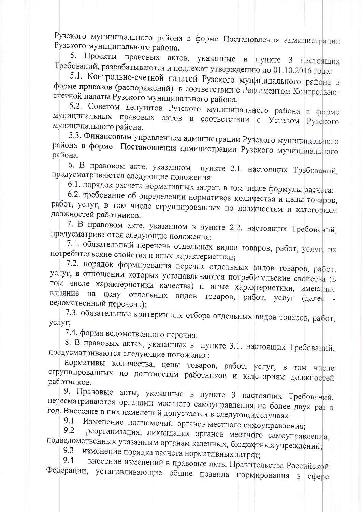Рузского муниципального района в форме Постановления администрации Рузского муниципального района.

5. Проекты правовых актов, указанные в пункте 3 настоящих Требований, разрабатываются и подлежат утверждению до 01.10.2016 года:

5.1. Контрольно-счетной палатой Рузского муниципального района в форме приказов (распоряжений) в соответствии с Регламентом Контрольносчетной палаты Рузского муниципального района.

5.2. Советом депутатов Рузского муниципального района в форме муниципальных правовых актов в соответствии с Уставом Рузского муниципального района.

5.3. Финансовым управлением администрации Рузского муниципального района в форме Постановления администрации Рузского муниципального района.

6. В правовом акте, указанном пункте 2.1. настоящих Требований, предусматриваются следующие положения:

6.1. порядок расчета нормативных затрат, в том числе формулы расчета;

6.2. требование об определении нормативов количества и цены товаров, работ, услуг, в том числе сгруппированных по должностям и категориям должностей работников.

7. В правовом акте, указанном в пункте 2.2. настоящих Требований, предусматриваются следующие положения:

7.1. обязательный перечень отдельных видов товаров, работ, услуг, их потребительские свойства и иные характеристики;

7.2. порядок формирования перечня отдельных видов товаров, работ, услуг, в отношении которых устанавливаются потребительские свойства (в том числе характеристики качества) и иные характеристики, имеющие влияние на цену отдельных видов товаров, работ, услуг (далее ведомственный перечень);

7.3. обязательные критерии для отбора отдельных видов товаров, работ, услуг;

7.4. форма ведомственного перечня.

8. В правовых актах, указанных в пункте 3.1. настоящих Требований, предусматриваются следующие положения:

нормативы количества, цены товаров, работ, услуг, в том числе сгруппированных по должностям работников и категориям должностей работников.

9. Правовые акты, указанные в пункте 3 настоящих Требований, пересматриваются органами местного самоуправления не более двух раз в год. Внесение в них изменений допускается в следующих случаях:

Изменение полномочий органов местного самоуправления; 9.1

9.2 реорганизация, ликвидация органов местного самоуправления, подведомственных указанным органам казенных, бюджетных учреждений;

изменение порядка расчета нормативных затрат; 9.3

внесение изменений в правовые акты Правительства Российской 9.4 Федерации, устанавливающие общие правила нормирования в сфере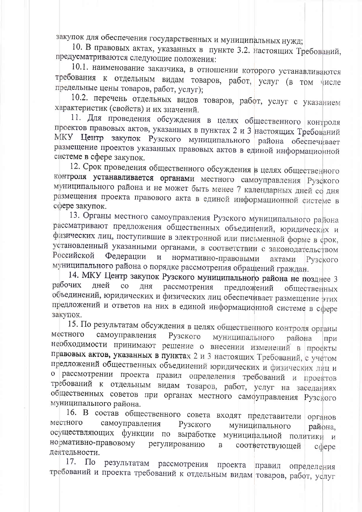закупок для обеспечения государственных и муниципальных нужд;

10. В правовых актах, указанных в пункте 3.2. настоящих Требований, предусматриваются следующие положения:

10.1. наименование заказчика, в отношении которого устанавливаются требования к отдельным видам товаров, работ, услуг (в том числе предельные цены товаров, работ, услуг);

10.2. перечень отдельных видов товаров, рабфт, услуг с указанием характеристик (свойств) и их значений.

11. Для проведения обсуждения в целях общественного контроля проектов правовых актов, указанных в пунктах 2 и 3 настоящих Требований МКУ Центр закупок Рузского муниципального района обеспечивает размещение проектов указанных правовых актов в единой информационной системе в сфере закупок.

12. Срок проведения общественного обсуждения в целях общественного контроля устанавливается органами местного самоуправления Рузского муниципального района и не может быть менее 7 календарных дней со дня размещения проекта правового акта в единой информационной системе в сфере закупок.

13. Органы местного самоуправления Рузского муниципального района рассматривают предложения общественных объединений, юридических и физических лиц, поступившие в электронной или письменной форме в срок, установленный указанными органами, в соответствии с законодательством Российской Федерации  $\,$   $\,$   $\,$   $\,$ нормативно-правовыми актами Рузского муниципального района о порядке рассмотрения обращений граждан.

14. МКУ Центр закупок Рузского муниципального района не позднее 3 рабочих лней  $\rm{co}$ ДНЯ рассмотрения предложений общественных объединений, юридических и физических лиц обеспечивает размещение этих предложений и ответов на них в единой информационной системе в сфере закупок.

15. По результатам обсуждения в целях общественного контроля органы местного самоуправления Рузского муниципального района при необходимости принимают решение о внесении изменений в проекты правовых актов, указанных в пунктах 2 и 3 настоящих Требований, с учетом предложений общественных объединений юридических и физических лиц и о рассмотрении проекта правил определения требований и проектов требований к отдельным видам товаров, работ, услуг на заседаниях общественных советов при органах местного самоуправления Рузского муниципального района.

16. В состав общественного совета входят представители органов местного самоуправления Рузского муниципального района, осуществляющих функции по выработке муниципальной политики и нормативно-правовому регулированию соответствующей  $\, {\bf B}$  $c$ <sub> $q$ </sub> $e$ <sub> $p$ </sub> $e$ деятельности.

17. По результатам рассмотрения проекта правил определения требований и проекта требований к отдельным видам товаров, работ, услуг